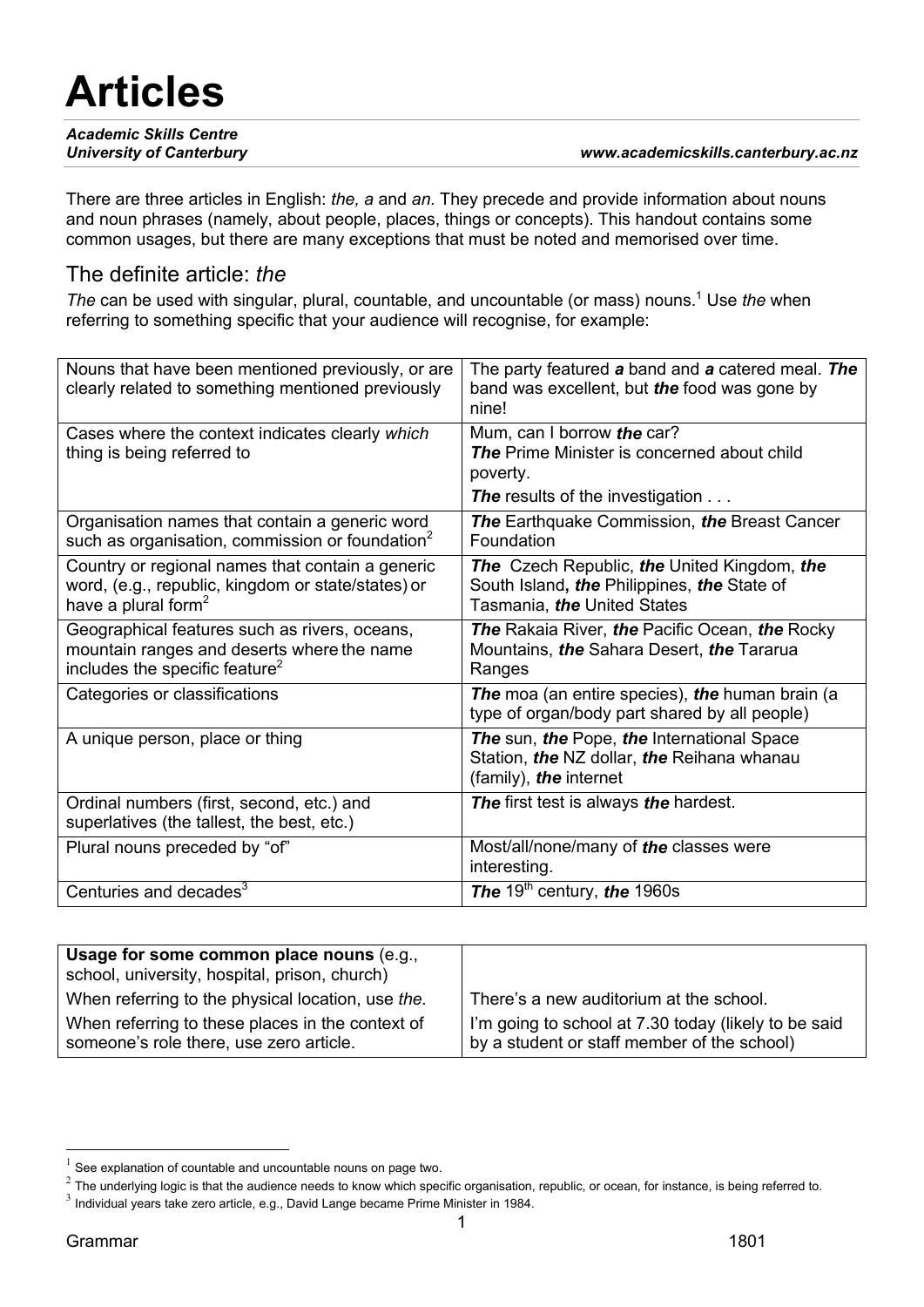# **Articles**

| <b>Academic Skills Centre</b>   |                                     |
|---------------------------------|-------------------------------------|
| <b>University of Canterbury</b> | www.academicskills.canterbury.ac.nz |

There are three articles in English: *the, a* and *an.* They precede and provide information about nouns and noun phrases (namely, about people, places, things or concepts). This handout contains some common usages, but there are many exceptions that must be noted and memorised over time.

#### The definite article: *the*

*The can be used with singular, plural, countable, and uncountable (or mass) nouns.<sup>1</sup> Use the when* referring to something specific that your audience will recognise, for example:

| Nouns that have been mentioned previously, or are<br>clearly related to something mentioned previously                                    | The party featured a band and a catered meal. The<br>band was excellent, but the food was gone by<br>nine!                |
|-------------------------------------------------------------------------------------------------------------------------------------------|---------------------------------------------------------------------------------------------------------------------------|
| Cases where the context indicates clearly which<br>thing is being referred to                                                             | Mum, can I borrow the car?<br><b>The Prime Minister is concerned about child</b><br>poverty.                              |
|                                                                                                                                           | <b>The results of the investigation </b>                                                                                  |
| Organisation names that contain a generic word<br>such as organisation, commission or foundation $2$                                      | <b>The Earthquake Commission, the Breast Cancer</b><br>Foundation                                                         |
| Country or regional names that contain a generic<br>word, (e.g., republic, kingdom or state/states) or<br>have a plural form <sup>2</sup> | The Czech Republic, the United Kingdom, the<br>South Island, the Philippines, the State of<br>Tasmania, the United States |
| Geographical features such as rivers, oceans,<br>mountain ranges and deserts where the name<br>includes the specific feature <sup>2</sup> | <b>The Rakaia River, the Pacific Ocean, the Rocky</b><br>Mountains, the Sahara Desert, the Tararua<br>Ranges              |
| Categories or classifications                                                                                                             | The moa (an entire species), the human brain (a<br>type of organ/body part shared by all people)                          |
| A unique person, place or thing                                                                                                           | The sun, the Pope, the International Space<br>Station, the NZ dollar, the Reihana whanau<br>(family), the internet        |
| Ordinal numbers (first, second, etc.) and<br>superlatives (the tallest, the best, etc.)                                                   | The first test is always the hardest.                                                                                     |
| Plural nouns preceded by "of"                                                                                                             | Most/all/none/many of the classes were<br>interesting.                                                                    |
| Centuries and decades <sup>3</sup>                                                                                                        | The 19 <sup>th</sup> century, the 1960s                                                                                   |

| Usage for some common place nouns (e.g.,<br>school, university, hospital, prison, church)   |                                                                                                     |
|---------------------------------------------------------------------------------------------|-----------------------------------------------------------------------------------------------------|
| When referring to the physical location, use the.                                           | There's a new auditorium at the school.                                                             |
| When referring to these places in the context of<br>someone's role there, use zero article. | I'm going to school at 7.30 today (likely to be said<br>by a student or staff member of the school) |

<sup>1</sup> See explanation of countable and uncountable nouns on page two.

 $^2$  The underlying logic is that the audience needs to know which specific organisation, republic, or ocean, for instance, is being referred to.

 $3$  Individual years take zero article, e.g., David Lange became Prime Minister in 1984.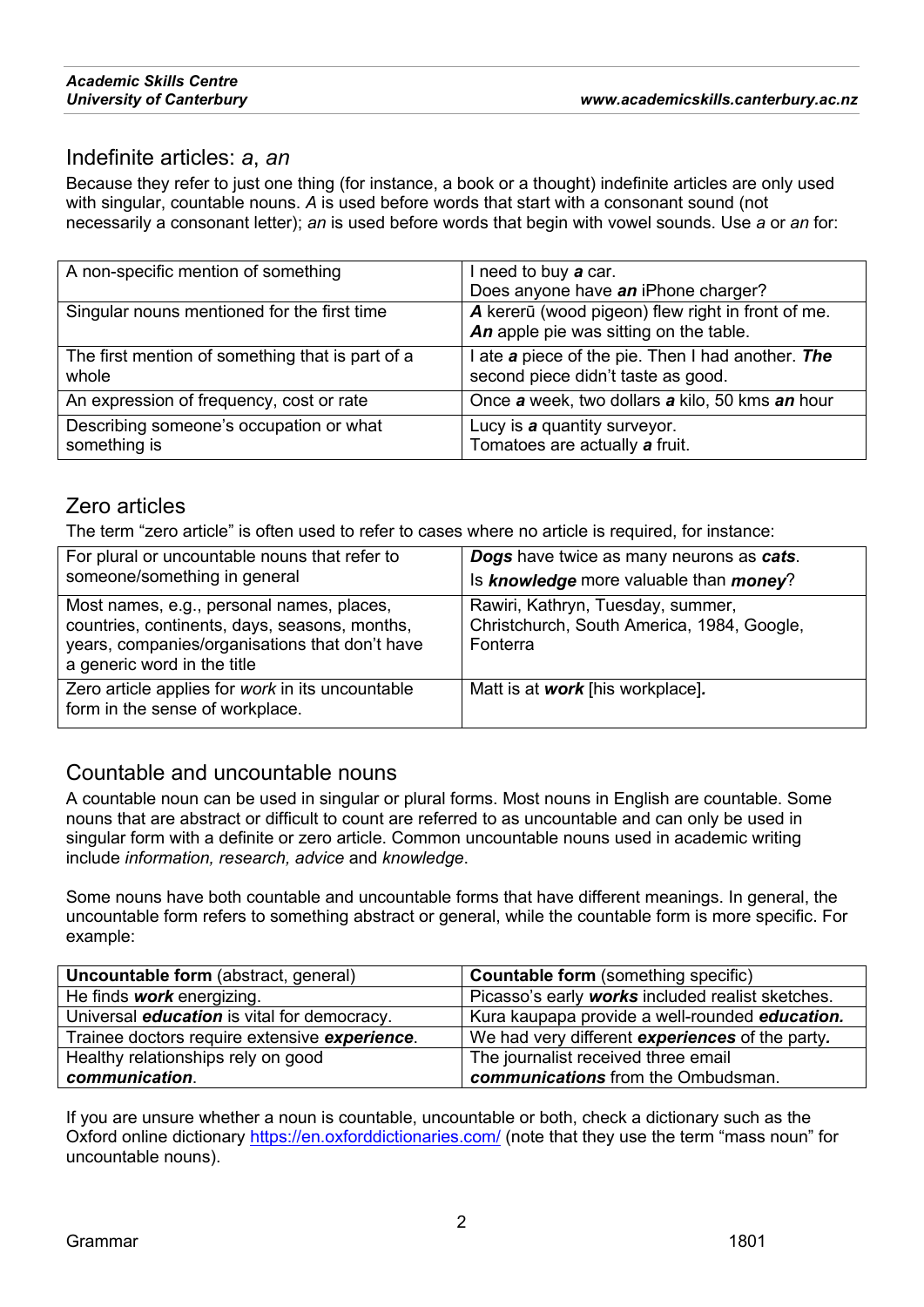# *Academic Skills Centre*

### Indefinite articles: *a*, *an*

Because they refer to just one thing (for instance, a book or a thought) indefinite articles are only used with singular, countable nouns. *A* is used before words that start with a consonant sound (not necessarily a consonant letter); *an* is used before words that begin with vowel sounds. Use *a* or *an* for:

| A non-specific mention of something                       | I need to buy a car.<br>Does anyone have an iPhone charger?                                 |
|-----------------------------------------------------------|---------------------------------------------------------------------------------------------|
| Singular nouns mentioned for the first time               | A kererū (wood pigeon) flew right in front of me.<br>An apple pie was sitting on the table. |
| The first mention of something that is part of a<br>whole | I ate a piece of the pie. Then I had another. The<br>second piece didn't taste as good.     |
| An expression of frequency, cost or rate                  | Once a week, two dollars a kilo, 50 kms an hour                                             |
| Describing someone's occupation or what<br>something is   | Lucy is a quantity surveyor.<br>Tomatoes are actually a fruit.                              |

# Zero articles

The term "zero article" is often used to refer to cases where no article is required, for instance:

| For plural or uncountable nouns that refer to<br>someone/something in general                                                                                               | Dogs have twice as many neurons as cats.<br>Is knowledge more valuable than money?          |
|-----------------------------------------------------------------------------------------------------------------------------------------------------------------------------|---------------------------------------------------------------------------------------------|
| Most names, e.g., personal names, places,<br>countries, continents, days, seasons, months,<br>years, companies/organisations that don't have<br>a generic word in the title | Rawiri, Kathryn, Tuesday, summer,<br>Christchurch, South America, 1984, Google,<br>Fonterra |
| Zero article applies for <i>work</i> in its uncountable<br>form in the sense of workplace.                                                                                  | Matt is at work [his workplace].                                                            |

# Countable and uncountable nouns

A countable noun can be used in singular or plural forms. Most nouns in English are countable. Some nouns that are abstract or difficult to count are referred to as uncountable and can only be used in singular form with a definite or zero article. Common uncountable nouns used in academic writing include *information, research, advice* and *knowledge*.

Some nouns have both countable and uncountable forms that have different meanings. In general, the uncountable form refers to something abstract or general, while the countable form is more specific. For example:

| <b>Uncountable form</b> (abstract, general)        | <b>Countable form</b> (something specific)       |
|----------------------------------------------------|--------------------------------------------------|
| He finds <b>work</b> energizing.                   | Picasso's early works included realist sketches. |
| Universal <i>education</i> is vital for democracy. | Kura kaupapa provide a well-rounded education.   |
| Trainee doctors require extensive experience.      | We had very different experiences of the party.  |
| Healthy relationships rely on good                 | The journalist received three email              |
| communication.                                     | communications from the Ombudsman.               |

If you are unsure whether a noun is countable, uncountable or both, check a dictionary such as the Oxford online dictionary https://en.oxforddictionaries.com/ (note that they use the term "mass noun" for uncountable nouns).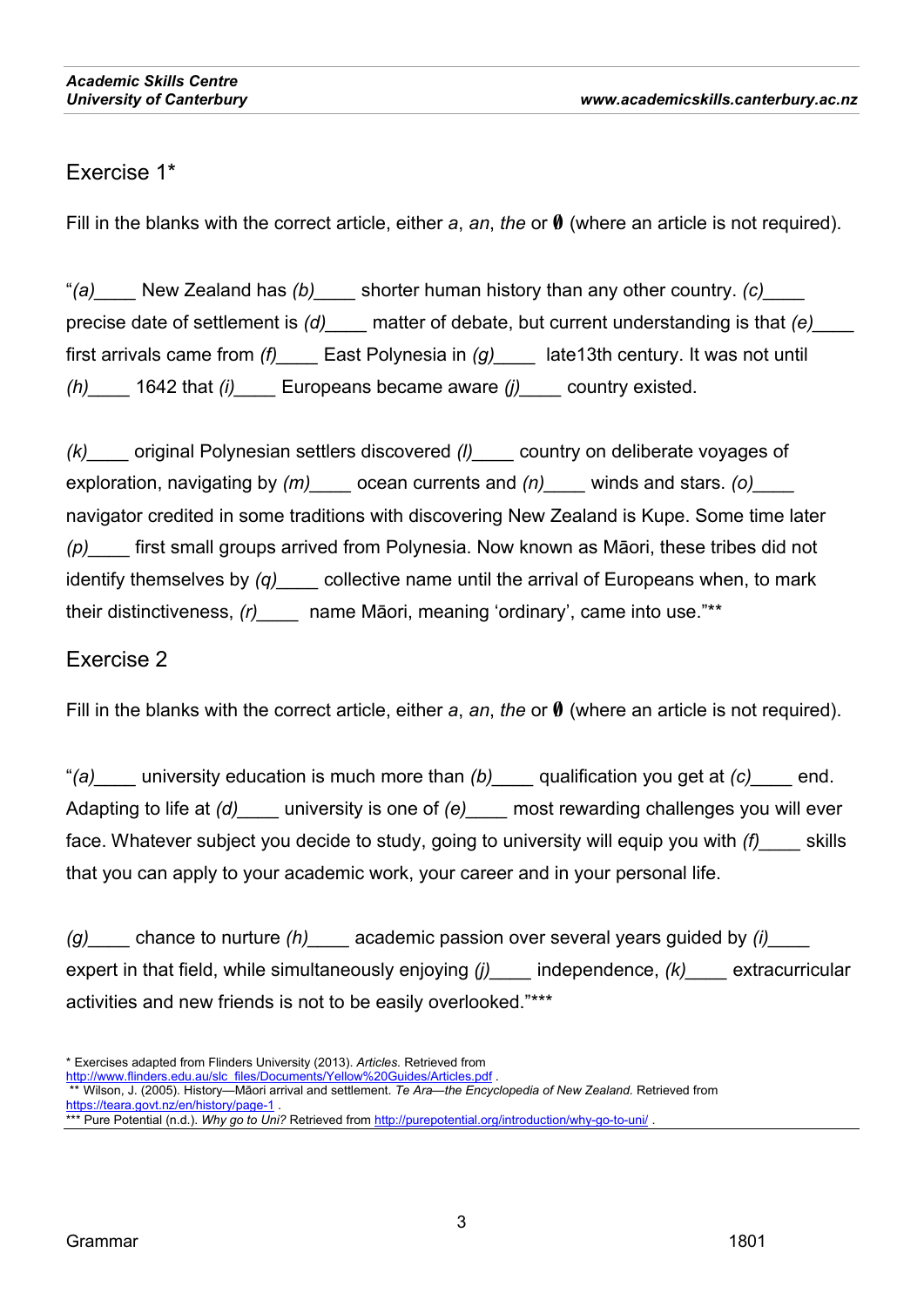# Exercise 1\*

Fill in the blanks with the correct article, either *a*, *an*, *the* or **0** (where an article is not required).

ì*(a)\_\_\_\_* New Zealand has *(b)\_\_\_\_* shorter human history than any other country. *(c)\_\_\_\_* precise date of settlement is *(d)\_\_\_\_* matter of debate, but current understanding is that *(e)\_\_\_\_* first arrivals came from *(f)\_\_\_\_* East Polynesia in *(g)\_\_\_\_* late13th century. It was not until *(h)\_\_\_\_* 1642 that *(i)\_\_\_\_* Europeans became aware *(j)\_\_\_\_* country existed.

*(k)\_\_\_\_* original Polynesian settlers discovered *(l)\_\_\_\_* country on deliberate voyages of exploration, navigating by  $(m)$  <u>cean</u> currents and  $(n)$  winds and stars. *(o)* navigator credited in some traditions with discovering New Zealand is Kupe. Some time later *(p)* first small groups arrived from Polynesia. Now known as Māori, these tribes did not identify themselves by *(q)\_\_\_\_* collective name until the arrival of Europeans when, to mark their distinctiveness, (r) **name Māori, meaning 'ordinary'**, came into use.<sup>"\*\*</sup>

# Exercise 2

Fill in the blanks with the correct article, either *a*, *an*, *the* or **0** (where an article is not required).

ì*(a)\_\_\_\_* university education is much more than *(b)\_\_\_\_* qualification you get at *(c)\_\_\_\_* end. Adapting to life at *(d)\_\_\_\_* university is one of *(e)\_\_\_\_* most rewarding challenges you will ever face. Whatever subject you decide to study, going to university will equip you with *(f)\_\_\_\_* skills that you can apply to your academic work, your career and in your personal life.

*(g)\_\_\_\_* chance to nurture *(h)\_\_\_\_* academic passion over several years guided by *(i)\_\_\_\_* expert in that field, while simultaneously enjoying *(j)\_\_\_\_* independence, *(k)\_\_\_\_* extracurricular activities and new friends is not to be easily overlooked."\*\*\*

<sup>\*</sup> Exercises adapted from Flinders University (2013). *Articles.* Retrieved from

http://www.flinders.edu.au/slc\_files/Documents/Yellow%20Guides/Articles.pdf Wilson, J. (2005). History—Māori arrival and settlement. *Te Ara—the Encyclopedia of New Zealand*. Retrieved from https://teara.govt.nz/en/history/page-1 .

<sup>\*\*\*</sup> Pure Potential (n.d.). *Why go to Uni?* Retrieved from http://purepotential.org/introduction/why-go-to-uni/